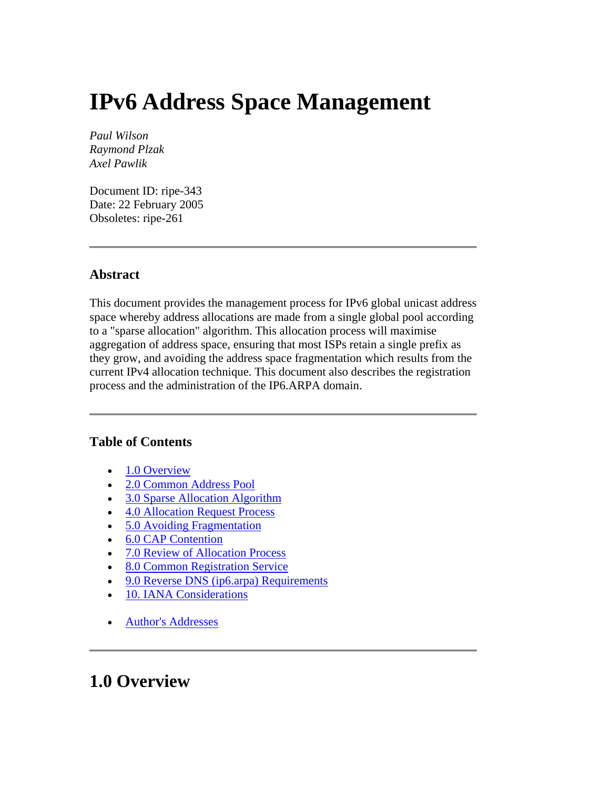# <span id="page-0-0"></span>**IPv6 Address Space Management**

*Paul Wilson Raymond Plzak Axel Pawlik*

Document ID: ripe-343 Date: 22 February 2005 Obsoletes: ripe-261

#### **Abstract**

This document provides the management process for IPv6 global unicast address space whereby address allocations are made from a single global pool according to a "sparse allocation" algorithm. This allocation process will maximise aggregation of address space, ensuring that most ISPs retain a single prefix as they grow, and avoiding the address space fragmentation which results from the current IPv4 allocation technique. This document also describes the registration process and the administration of the IP6.ARPA domain.

#### **Table of Contents**

- [1.0 Overview](#page-0-0)
- [2.0 Common Address Pool](#page-1-0)
- [3.0 Sparse Allocation Algorithm](#page-1-0)
- [4.0 Allocation Request Process](#page-3-0)
- [5.0 Avoiding Fragmentation](#page-3-0)
- [6.0 CAP Contention](#page-4-0)
- [7.0 Review of Allocation Process](#page-4-0)
- [8.0 Common Registration Service](#page-4-0)
- [9.0 Reverse DNS \(ip6.arpa\) Requirements](#page-5-0)
- [10. IANA Considerations](#page-5-0)
- [Author's Addresses](#page-6-0)

### **1.0 Overview**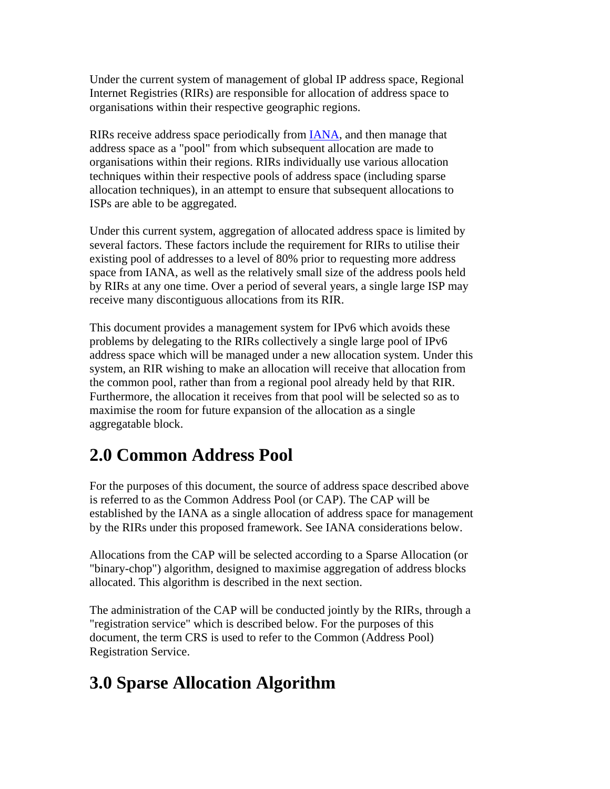<span id="page-1-0"></span>Under the current system of management of global IP address space, Regional Internet Registries (RIRs) are responsible for allocation of address space to organisations within their respective geographic regions.

RIRs receive address space periodically from [IANA,](http://www.iana.org/) and then manage that address space as a "pool" from which subsequent allocation are made to organisations within their regions. RIRs individually use various allocation techniques within their respective pools of address space (including sparse allocation techniques), in an attempt to ensure that subsequent allocations to ISPs are able to be aggregated.

Under this current system, aggregation of allocated address space is limited by several factors. These factors include the requirement for RIRs to utilise their existing pool of addresses to a level of 80% prior to requesting more address space from IANA, as well as the relatively small size of the address pools held by RIRs at any one time. Over a period of several years, a single large ISP may receive many discontiguous allocations from its RIR.

This document provides a management system for IPv6 which avoids these problems by delegating to the RIRs collectively a single large pool of IPv6 address space which will be managed under a new allocation system. Under this system, an RIR wishing to make an allocation will receive that allocation from the common pool, rather than from a regional pool already held by that RIR. Furthermore, the allocation it receives from that pool will be selected so as to maximise the room for future expansion of the allocation as a single aggregatable block.

# **2.0 Common Address Pool**

For the purposes of this document, the source of address space described above is referred to as the Common Address Pool (or CAP). The CAP will be established by the IANA as a single allocation of address space for management by the RIRs under this proposed framework. See IANA considerations below.

Allocations from the CAP will be selected according to a Sparse Allocation (or "binary-chop") algorithm, designed to maximise aggregation of address blocks allocated. This algorithm is described in the next section.

The administration of the CAP will be conducted jointly by the RIRs, through a "registration service" which is described below. For the purposes of this document, the term CRS is used to refer to the Common (Address Pool) Registration Service.

# **3.0 Sparse Allocation Algorithm**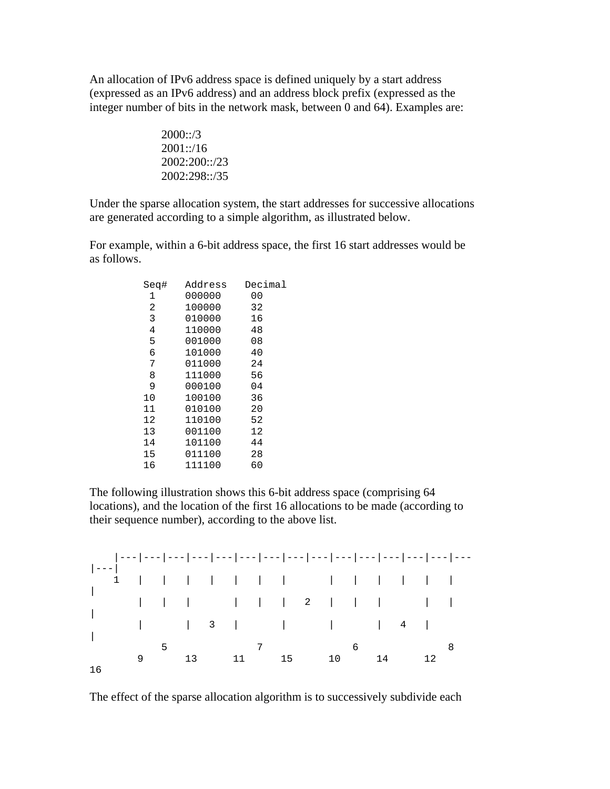An allocation of IPv6 address space is defined uniquely by a start address (expressed as an IPv6 address) and an address block prefix (expressed as the integer number of bits in the network mask, between 0 and 64). Examples are:

$$
\begin{array}{c} 2000::/3 \\ 2001::/16 \\ 2002:200::/23 \\ 2002:298::/35 \end{array}
$$

Under the sparse allocation system, the start addresses for successive allocations are generated according to a simple algorithm, as illustrated below.

For example, within a 6-bit address space, the first 16 start addresses would be as follows.

| Sea# | Address | Decimal |
|------|---------|---------|
| 1    | 000000  | 00      |
| 2    | 100000  | 32      |
| 3    | 010000  | 16      |
| 4    | 110000  | 48      |
| 5    | 001000  | 08      |
| 6    | 101000  | 40      |
| 7    | 011000  | 24      |
| 8    | 111000  | 56      |
| 9    | 000100  | 04      |
| 10   | 100100  | 36      |
| 11   | 010100  | 20      |
| 12   | 110100  | 52      |
| 13   | 001100  | 12      |
| 14   | 101100  | 44      |
| 15   | 011100  | 28      |
| 16   | 111100  | 60      |
|      |         |         |

The following illustration shows this 6-bit address space (comprising 64 locations), and the location of the first 16 allocations to be made (according to their sequence number), according to the above list.



The effect of the sparse allocation algorithm is to successively subdivide each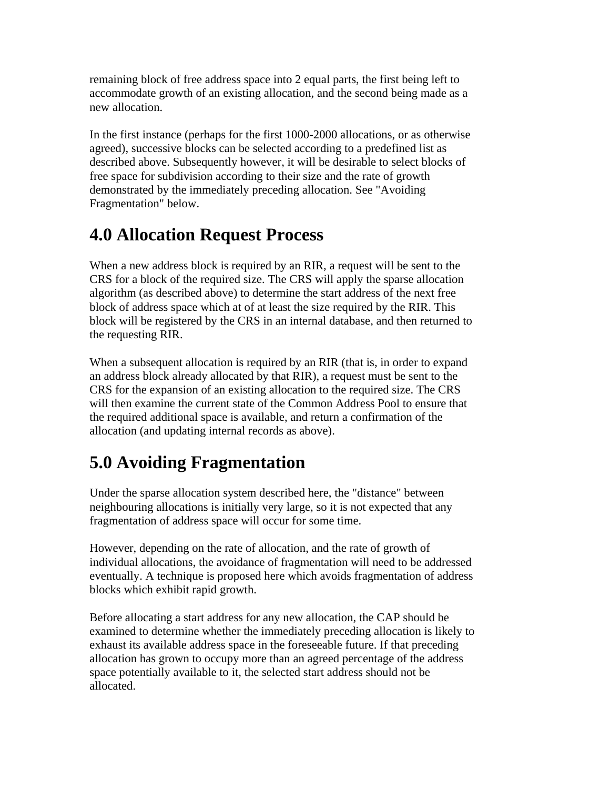<span id="page-3-0"></span>remaining block of free address space into 2 equal parts, the first being left to accommodate growth of an existing allocation, and the second being made as a new allocation.

In the first instance (perhaps for the first 1000-2000 allocations, or as otherwise agreed), successive blocks can be selected according to a predefined list as described above. Subsequently however, it will be desirable to select blocks of free space for subdivision according to their size and the rate of growth demonstrated by the immediately preceding allocation. See "Avoiding Fragmentation" below.

# **4.0 Allocation Request Process**

When a new address block is required by an RIR, a request will be sent to the CRS for a block of the required size. The CRS will apply the sparse allocation algorithm (as described above) to determine the start address of the next free block of address space which at of at least the size required by the RIR. This block will be registered by the CRS in an internal database, and then returned to the requesting RIR.

When a subsequent allocation is required by an RIR (that is, in order to expand an address block already allocated by that RIR), a request must be sent to the CRS for the expansion of an existing allocation to the required size. The CRS will then examine the current state of the Common Address Pool to ensure that the required additional space is available, and return a confirmation of the allocation (and updating internal records as above).

# **5.0 Avoiding Fragmentation**

Under the sparse allocation system described here, the "distance" between neighbouring allocations is initially very large, so it is not expected that any fragmentation of address space will occur for some time.

However, depending on the rate of allocation, and the rate of growth of individual allocations, the avoidance of fragmentation will need to be addressed eventually. A technique is proposed here which avoids fragmentation of address blocks which exhibit rapid growth.

Before allocating a start address for any new allocation, the CAP should be examined to determine whether the immediately preceding allocation is likely to exhaust its available address space in the foreseeable future. If that preceding allocation has grown to occupy more than an agreed percentage of the address space potentially available to it, the selected start address should not be allocated.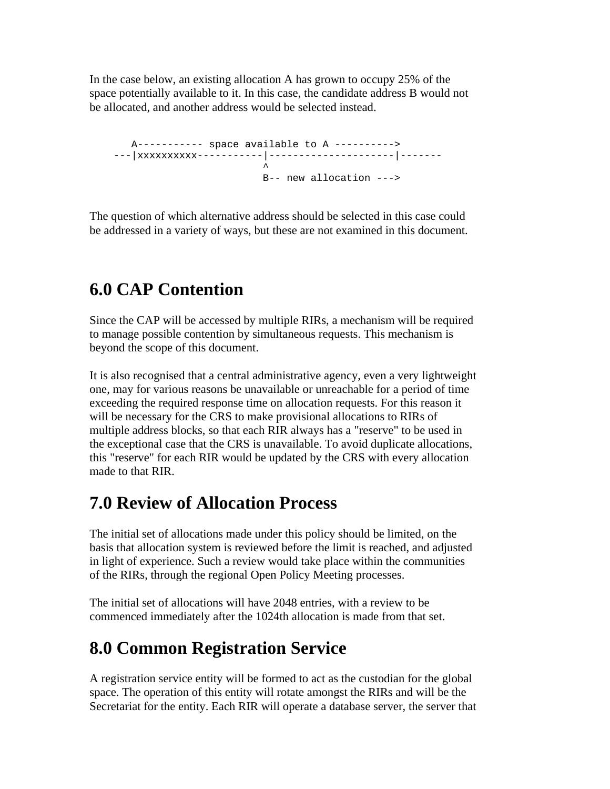<span id="page-4-0"></span>In the case below, an existing allocation A has grown to occupy 25% of the space potentially available to it. In this case, the candidate address B would not be allocated, and another address would be selected instead.

 A----------- space available to A ----------> ---|xxxxxxxxxx-----------|---------------------|-------  $\mathcal{A}^{\mathcal{A}}$  and  $\mathcal{A}^{\mathcal{A}}$  and  $\mathcal{A}^{\mathcal{A}}$ B-- new allocation --->

The question of which alternative address should be selected in this case could be addressed in a variety of ways, but these are not examined in this document.

# **6.0 CAP Contention**

Since the CAP will be accessed by multiple RIRs, a mechanism will be required to manage possible contention by simultaneous requests. This mechanism is beyond the scope of this document.

It is also recognised that a central administrative agency, even a very lightweight one, may for various reasons be unavailable or unreachable for a period of time exceeding the required response time on allocation requests. For this reason it will be necessary for the CRS to make provisional allocations to RIRs of multiple address blocks, so that each RIR always has a "reserve" to be used in the exceptional case that the CRS is unavailable. To avoid duplicate allocations, this "reserve" for each RIR would be updated by the CRS with every allocation made to that RIR.

### **7.0 Review of Allocation Process**

The initial set of allocations made under this policy should be limited, on the basis that allocation system is reviewed before the limit is reached, and adjusted in light of experience. Such a review would take place within the communities of the RIRs, through the regional Open Policy Meeting processes.

The initial set of allocations will have 2048 entries, with a review to be commenced immediately after the 1024th allocation is made from that set.

## **8.0 Common Registration Service**

A registration service entity will be formed to act as the custodian for the global space. The operation of this entity will rotate amongst the RIRs and will be the Secretariat for the entity. Each RIR will operate a database server, the server that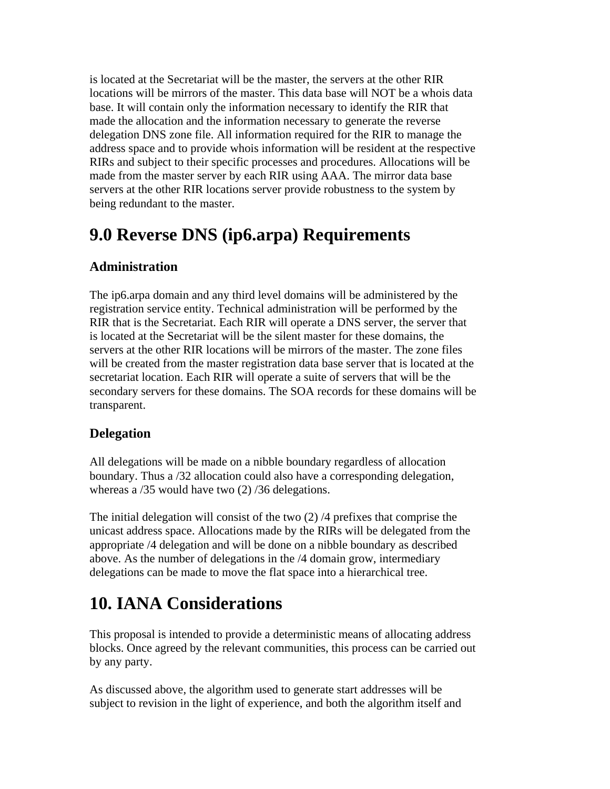<span id="page-5-0"></span>is located at the Secretariat will be the master, the servers at the other RIR locations will be mirrors of the master. This data base will NOT be a whois data base. It will contain only the information necessary to identify the RIR that made the allocation and the information necessary to generate the reverse delegation DNS zone file. All information required for the RIR to manage the address space and to provide whois information will be resident at the respective RIRs and subject to their specific processes and procedures. Allocations will be made from the master server by each RIR using AAA. The mirror data base servers at the other RIR locations server provide robustness to the system by being redundant to the master.

### **9.0 Reverse DNS (ip6.arpa) Requirements**

#### **Administration**

The ip6.arpa domain and any third level domains will be administered by the registration service entity. Technical administration will be performed by the RIR that is the Secretariat. Each RIR will operate a DNS server, the server that is located at the Secretariat will be the silent master for these domains, the servers at the other RIR locations will be mirrors of the master. The zone files will be created from the master registration data base server that is located at the secretariat location. Each RIR will operate a suite of servers that will be the secondary servers for these domains. The SOA records for these domains will be transparent.

#### **Delegation**

All delegations will be made on a nibble boundary regardless of allocation boundary. Thus a /32 allocation could also have a corresponding delegation, whereas a  $/35$  would have two  $(2)$   $/36$  delegations.

The initial delegation will consist of the two (2) /4 prefixes that comprise the unicast address space. Allocations made by the RIRs will be delegated from the appropriate /4 delegation and will be done on a nibble boundary as described above. As the number of delegations in the /4 domain grow, intermediary delegations can be made to move the flat space into a hierarchical tree.

### **10. IANA Considerations**

This proposal is intended to provide a deterministic means of allocating address blocks. Once agreed by the relevant communities, this process can be carried out by any party.

As discussed above, the algorithm used to generate start addresses will be subject to revision in the light of experience, and both the algorithm itself and